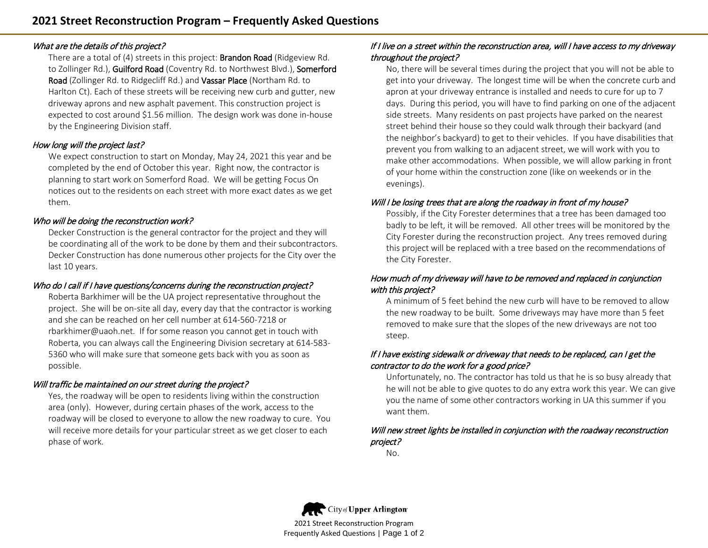#### What are the details of this project?

There are a total of (4) streets in this project: Brandon Road (Ridgeview Rd. to Zollinger Rd.), Guilford Road (Coventry Rd. to Northwest Blvd.), Somerford Road (Zollinger Rd. to Ridgecliff Rd.) and Vassar Place (Northam Rd. to Harlton Ct). Each of these streets will be receiving new curb and gutter, new driveway aprons and new asphalt pavement. This construction project is expected to cost around \$1.56 million. The design work was done in-house by the Engineering Division staff.

## How long will the project last?

We expect construction to start on Monday, May 24, 2021 this year and be completed by the end of October this year. Right now, the contractor is planning to start work on Somerford Road. We will be getting Focus On notices out to the residents on each street with more exact dates as we get them.

## Who will be doing the reconstruction work?

Decker Construction is the general contractor for the project and they will be coordinating all of the work to be done by them and their subcontractors. Decker Construction has done numerous other projects for the City over the last 10 years.

# Who do I call if I have questions/concerns during the reconstruction project?

Roberta Barkhimer will be the UA project representative throughout the project. She will be on-site all day, every day that the contractor is working and she can be reached on her cell number at 614-560-7218 or rbarkhimer@uaoh.net. If for some reason you cannot get in touch with Roberta, you can always call the Engineering Division secretary at 614-583- 5360 who will make sure that someone gets back with you as soon as possible.

## Will traffic be maintained on our street during the project?

Yes, the roadway will be open to residents living within the construction area (only). However, during certain phases of the work, access to the roadway will be closed to everyone to allow the new roadway to cure. You will receive more details for your particular street as we get closer to each phase of work.

## If I live on a street within the reconstruction area, will I have access to my driveway throughout the project?

No, there will be several times during the project that you will not be able to get into your driveway. The longest time will be when the concrete curb and apron at your driveway entrance is installed and needs to cure for up to 7 days. During this period, you will have to find parking on one of the adjacent side streets. Many residents on past projects have parked on the nearest street behind their house so they could walk through their backyard (and the neighbor's backyard) to get to their vehicles. If you have disabilities that prevent you from walking to an adjacent street, we will work with you to make other accommodations. When possible, we will allow parking in front of your home within the construction zone (like on weekends or in the evenings).

## Will I be losing trees that are along the roadway in front of my house?

Possibly, if the City Forester determines that a tree has been damaged too badly to be left, it will be removed. All other trees will be monitored by the City Forester during the reconstruction project. Any trees removed during this project will be replaced with a tree based on the recommendations of the City Forester.

## How much of my driveway will have to be removed and replaced in conjunction with this project?

A minimum of 5 feet behind the new curb will have to be removed to allow the new roadway to be built. Some driveways may have more than 5 feet removed to make sure that the slopes of the new driveways are not too steep.

## If I have existing sidewalk or driveway that needs to be replaced, can I get the contractor to do the work for a good price?

Unfortunately, no. The contractor has told us that he is so busy already that he will not be able to give quotes to do any extra work this year. We can give you the name of some other contractors working in UA this summer if you want them.

## Will new street lights be installed in conjunction with the roadway reconstruction project?

No.



2021 Street Reconstruction Program Frequently Asked Questions | Page 1 of 2